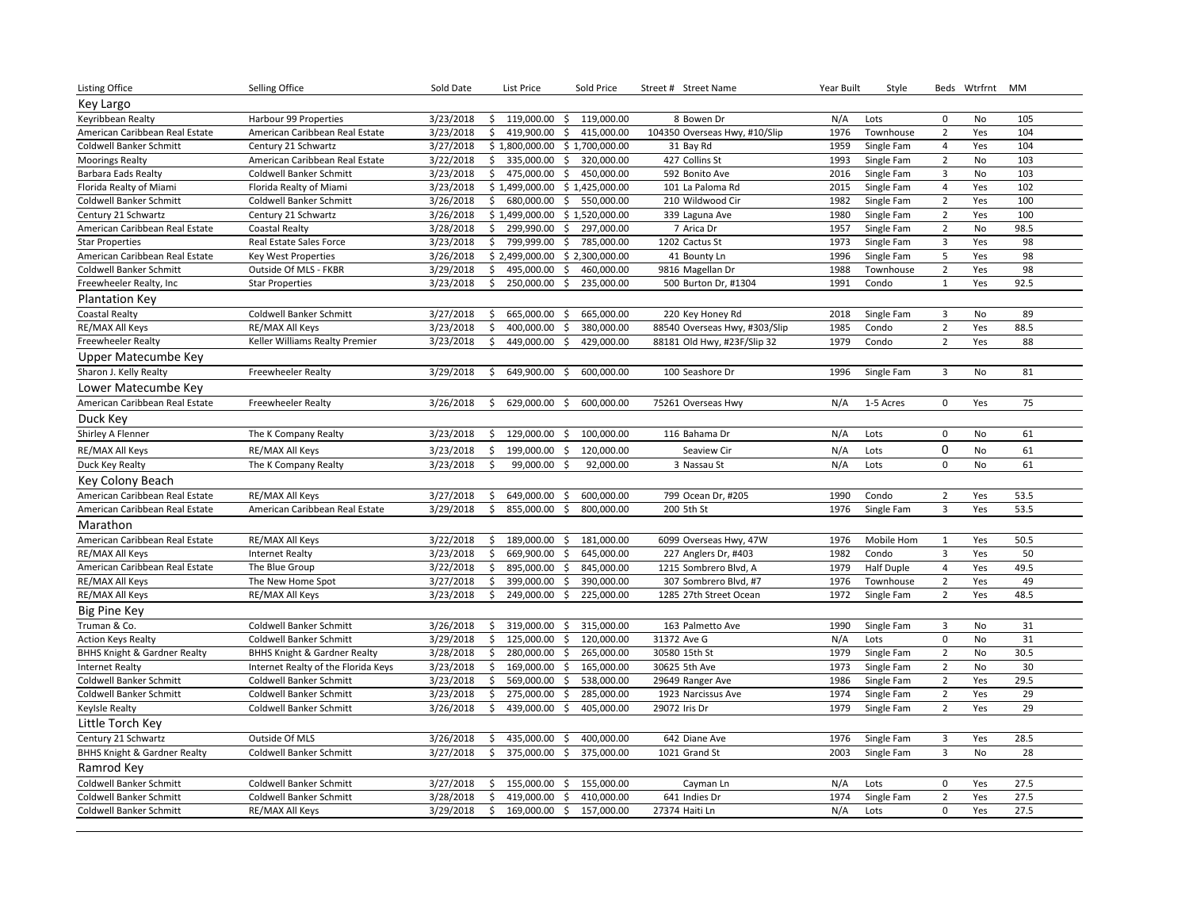| <b>Listing Office</b>                   | Selling Office                          | Sold Date | List Price          | Sold Price                        | Street # Street Name          | Year Built | Style             |                | Beds Wtrfrnt MM |      |
|-----------------------------------------|-----------------------------------------|-----------|---------------------|-----------------------------------|-------------------------------|------------|-------------------|----------------|-----------------|------|
| Key Largo                               |                                         |           |                     |                                   |                               |            |                   |                |                 |      |
| Keyribbean Realty                       | Harbour 99 Properties                   | 3/23/2018 | 119.000.00<br>\$    | 119,000.00<br>$\frac{1}{2}$       | 8 Bowen Dr                    | N/A        | Lots              | $\mathbf 0$    | <b>No</b>       | 105  |
| American Caribbean Real Estate          | American Caribbean Real Estate          | 3/23/2018 | \$<br>419,900.00    | \$<br>415,000.00                  | 104350 Overseas Hwy, #10/Slip | 1976       | Townhouse         | $\overline{2}$ | Yes             | 104  |
| Coldwell Banker Schmitt                 | Century 21 Schwartz                     | 3/27/2018 |                     | $$1,800,000.00$$ $$1,700,000.00$  | 31 Bay Rd                     | 1959       | Single Fam        | $\overline{4}$ | Yes             | 104  |
| <b>Moorings Realty</b>                  | American Caribbean Real Estate          | 3/22/2018 | \$<br>335,000.00    | \$<br>320,000.00                  | 427 Collins St                | 1993       | Single Fam        | $\overline{2}$ | No              | 103  |
| <b>Barbara Eads Realty</b>              | <b>Coldwell Banker Schmitt</b>          | 3/23/2018 | \$<br>475,000.00    | $\ddot{\mathsf{S}}$<br>450,000.00 | 592 Bonito Ave                | 2016       | Single Fam        | $\mathbf{3}$   | No              | 103  |
| Florida Realty of Miami                 | Florida Realty of Miami                 | 3/23/2018 |                     | \$1,499,000.00 \$1,425,000.00     | 101 La Paloma Rd              | 2015       | Single Fam        | $\overline{4}$ | Yes             | 102  |
| Coldwell Banker Schmitt                 | Coldwell Banker Schmitt                 | 3/26/2018 | \$<br>680,000.00 \$ | 550,000.00                        | 210 Wildwood Cir              | 1982       | Single Fam        | $\overline{2}$ | Yes             | 100  |
| Century 21 Schwartz                     | Century 21 Schwartz                     | 3/26/2018 | \$1,499,000.00      | \$1,520,000.00                    | 339 Laguna Ave                | 1980       | Single Fam        | $\overline{2}$ | Yes             | 100  |
| American Caribbean Real Estate          | <b>Coastal Realty</b>                   | 3/28/2018 | 299,990.00<br>\$    | \$<br>297,000.00                  | 7 Arica Dr                    | 1957       | Single Fam        | $\overline{2}$ | No              | 98.5 |
| <b>Star Properties</b>                  | Real Estate Sales Force                 | 3/23/2018 | 799,999.00<br>\$    | \$<br>785,000.00                  | 1202 Cactus St                | 1973       | Single Fam        | 3              | Yes             | 98   |
| American Caribbean Real Estate          | Key West Properties                     | 3/26/2018 |                     | \$2,499,000.00 \$2,300,000.00     | 41 Bounty Ln                  | 1996       | Single Fam        | 5              | Yes             | 98   |
| Coldwell Banker Schmitt                 | Outside Of MLS - FKBR                   | 3/29/2018 | \$<br>495,000.00    | $\ddot{\mathsf{S}}$<br>460,000.00 | 9816 Magellan Dr              | 1988       | Townhouse         | $\overline{2}$ | Yes             | 98   |
| Freewheeler Realty, Inc                 | <b>Star Properties</b>                  | 3/23/2018 | \$<br>250,000.00    | \$<br>235,000.00                  | 500 Burton Dr, #1304          | 1991       | Condo             | $\mathbf{1}$   | Yes             | 92.5 |
| <b>Plantation Key</b>                   |                                         |           |                     |                                   |                               |            |                   |                |                 |      |
| <b>Coastal Realty</b>                   | <b>Coldwell Banker Schmitt</b>          | 3/27/2018 | 665,000.00<br>\$    | 665,000.00<br>\$                  | 220 Key Honey Rd              | 2018       | Single Fam        | 3              | No              | 89   |
| RE/MAX All Keys                         | RE/MAX All Keys                         | 3/23/2018 | Ś.<br>400,000.00    | $\ddot{\mathsf{S}}$<br>380,000.00 | 88540 Overseas Hwy, #303/Slip | 1985       | Condo             | $\overline{2}$ | Yes             | 88.5 |
| Freewheeler Realty                      | Keller Williams Realty Premier          | 3/23/2018 | \$<br>449,000.00 \$ | 429,000.00                        | 88181 Old Hwy, #23F/Slip 32   | 1979       | Condo             | $\overline{2}$ | Yes             | 88   |
| Upper Matecumbe Key                     |                                         |           |                     |                                   |                               |            |                   |                |                 |      |
| Sharon J. Kelly Realty                  | Freewheeler Realty                      | 3/29/2018 | 649,900.00 \$<br>\$ | 600,000.00                        | 100 Seashore Dr               | 1996       | Single Fam        | $\overline{3}$ | <b>No</b>       | 81   |
| Lower Matecumbe Key                     |                                         |           |                     |                                   |                               |            |                   |                |                 |      |
| American Caribbean Real Estate          | Freewheeler Realty                      | 3/26/2018 | 629,000.00<br>Ŝ.    | 600,000.00<br>\$                  | 75261 Overseas Hwy            | N/A        | 1-5 Acres         | $\mathbf 0$    | Yes             | 75   |
| Duck Key                                |                                         |           |                     |                                   |                               |            |                   |                |                 |      |
| Shirley A Flenner                       | The K Company Realty                    | 3/23/2018 | \$<br>129,000.00 \$ | 100,000.00                        | 116 Bahama Dr                 | N/A        | Lots              | $\mathbf 0$    | <b>No</b>       | 61   |
| RE/MAX All Keys                         | RE/MAX All Keys                         | 3/23/2018 | \$<br>199,000.00 \$ | 120,000.00                        | Seaview Cir                   | N/A        | Lots              | $\mathbf 0$    | No              | 61   |
| Duck Key Realty                         | The K Company Realty                    | 3/23/2018 | \$<br>99,000.00 \$  | 92,000.00                         | 3 Nassau St                   | N/A        | Lots              | $\mathbf 0$    | <b>No</b>       | 61   |
| Key Colony Beach                        |                                         |           |                     |                                   |                               |            |                   |                |                 |      |
| American Caribbean Real Estate          | RE/MAX All Keys                         | 3/27/2018 | 649,000.00 \$<br>\$ | 600,000.00                        | 799 Ocean Dr, #205            | 1990       | Condo             | $\overline{2}$ | Yes             | 53.5 |
| American Caribbean Real Estate          | American Caribbean Real Estate          | 3/29/2018 | \$<br>855,000.00    | 800,000.00<br>\$                  | 200 5th St                    | 1976       | Single Fam        | 3              | Yes             | 53.5 |
| Marathon                                |                                         |           |                     |                                   |                               |            |                   |                |                 |      |
| American Caribbean Real Estate          | RE/MAX All Keys                         | 3/22/2018 | \$<br>189,000.00 \$ | 181,000.00                        | 6099 Overseas Hwy, 47W        | 1976       | Mobile Hom        | 1              | Yes             | 50.5 |
| RE/MAX All Keys                         | <b>Internet Realty</b>                  | 3/23/2018 | Ś.<br>669,900.00    | 645,000.00<br>\$                  | 227 Anglers Dr, #403          | 1982       | Condo             | $\overline{3}$ | Yes             | 50   |
| American Caribbean Real Estate          | The Blue Group                          | 3/22/2018 | \$<br>895,000.00    | $\ddot{\varsigma}$<br>845,000.00  | 1215 Sombrero Blvd, A         | 1979       | <b>Half Duple</b> | $\overline{4}$ | Yes             | 49.5 |
| RE/MAX All Keys                         | The New Home Spot                       | 3/27/2018 | \$<br>399,000.00    | \$<br>390,000.00                  | 307 Sombrero Blvd, #7         | 1976       | Townhouse         | $\overline{2}$ | Yes             | 49   |
| RE/MAX All Keys                         | RE/MAX All Keys                         | 3/23/2018 | 249,000.00 \$<br>\$ | 225,000.00                        | 1285 27th Street Ocean        | 1972       | Single Fam        | $\overline{2}$ | Yes             | 48.5 |
| Big Pine Key                            |                                         |           |                     |                                   |                               |            |                   |                |                 |      |
| Truman & Co.                            | Coldwell Banker Schmitt                 | 3/26/2018 | 319,000.00<br>\$    | 315,000.00<br>\$                  | 163 Palmetto Ave              | 1990       | Single Fam        | 3              | <b>No</b>       | 31   |
| <b>Action Keys Realty</b>               | <b>Coldwell Banker Schmitt</b>          | 3/29/2018 | \$<br>125,000.00    | $\ddot{\varsigma}$<br>120,000.00  | 31372 Ave G                   | N/A        | Lots              | $\mathsf 0$    | No              | 31   |
| <b>BHHS Knight &amp; Gardner Realty</b> | <b>BHHS Knight &amp; Gardner Realty</b> | 3/28/2018 | 280,000.00 \$<br>\$ | 265,000.00                        | 30580 15th St                 | 1979       | Single Fam        | $\overline{2}$ | No              | 30.5 |
| <b>Internet Realty</b>                  | Internet Realty of the Florida Keys     | 3/23/2018 | 169,000.00<br>\$    | 165,000.00<br>\$                  | 30625 5th Ave                 | 1973       | Single Fam        | $\overline{2}$ | <b>No</b>       | 30   |
| Coldwell Banker Schmitt                 | Coldwell Banker Schmitt                 | 3/23/2018 | \$<br>569,000.00 \$ | 538,000.00                        | 29649 Ranger Ave              | 1986       | Single Fam        | $\overline{2}$ | Yes             | 29.5 |
| Coldwell Banker Schmitt                 | Coldwell Banker Schmitt                 | 3/23/2018 | \$<br>275,000.00    | \$<br>285,000.00                  | 1923 Narcissus Ave            | 1974       | Single Fam        | $\overline{2}$ | Yes             | 29   |
| Keylsle Realty                          | Coldwell Banker Schmitt                 | 3/26/2018 | \$<br>439,000.00    | \$<br>405,000.00                  | 29072 Iris Dr                 | 1979       | Single Fam        | $\overline{2}$ | Yes             | 29   |
| Little Torch Key                        |                                         |           |                     |                                   |                               |            |                   |                |                 |      |
| Century 21 Schwartz                     | Outside Of MLS                          | 3/26/2018 | \$<br>435,000.00    | \$<br>400,000.00                  | 642 Diane Ave                 | 1976       | Single Fam        | 3              | Yes             | 28.5 |
| <b>BHHS Knight &amp; Gardner Realty</b> | Coldwell Banker Schmitt                 | 3/27/2018 | \$<br>375,000.00    | 375,000.00<br>\$                  | 1021 Grand St                 | 2003       | Single Fam        | $\overline{3}$ | No              | 28   |
| Ramrod Key                              |                                         |           |                     |                                   |                               |            |                   |                |                 |      |
| Coldwell Banker Schmitt                 | Coldwell Banker Schmitt                 | 3/27/2018 | 155,000.00 \$<br>\$ | 155,000.00                        | Cayman Ln                     | N/A        | Lots              | $\mathsf 0$    | Yes             | 27.5 |
| <b>Coldwell Banker Schmitt</b>          | Coldwell Banker Schmitt                 | 3/28/2018 | \$<br>419,000.00    | \$<br>410,000.00                  | 641 Indies Dr                 | 1974       | Single Fam        | $\overline{2}$ | Yes             | 27.5 |
| Coldwell Banker Schmitt                 | RE/MAX All Keys                         | 3/29/2018 | \$<br>169,000.00 \$ | 157,000.00                        | 27374 Haiti Ln                | N/A        | Lots              | $\mathbf 0$    | Yes             | 27.5 |
|                                         |                                         |           |                     |                                   |                               |            |                   |                |                 |      |